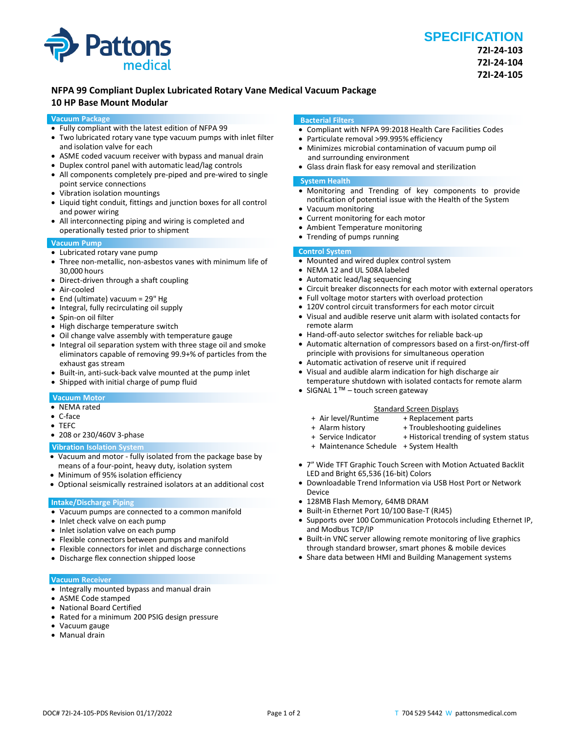

## **NFPA 99 Compliant Duplex Lubricated Rotary Vane Medical Vacuum Package**

## **10 HP Base Mount Modular**

#### **Vacuum Package**

- Fully compliant with the latest edition of NFPA 99
- Two lubricated rotary vane type vacuum pumps with inlet filter and isolation valve for each
- ASME coded vacuum receiver with bypass and manual drain
- Duplex control panel with automatic lead/lag controls
- All components completely pre-piped and pre-wired to single point service connections
- Vibration isolation mountings
- Liquid tight conduit, fittings and junction boxes for all control and power wiring
- All interconnecting piping and wiring is completed and operationally tested prior to shipment

### **Vacuum Pump**

- Lubricated rotary vane pump
- Three non-metallic, non-asbestos vanes with minimum life of 30,000 hours
- Direct-driven through a shaft coupling
- Air-cooled
- End (ultimate) vacuum = 29" Hg
- Integral, fully recirculating oil supply
- Spin-on oil filter
- High discharge temperature switch
- Oil change valve assembly with temperature gauge
- Integral oil separation system with three stage oil and smoke eliminators capable of removing 99.9+% of particles from the exhaust gas stream
- Built-in, anti-suck-back valve mounted at the pump inlet
- Shipped with initial charge of pump fluid

#### **Vacuum Motor**

- NEMA rated
- C-face
- TEFC
- 208 or 230/460V 3-phase

#### **Vibration Isolation System**

- Vacuum and motor fully isolated from the package base by means of a four-point, heavy duty, isolation system
- Minimum of 95% isolation efficiency
- Optional seismically restrained isolators at an additional cost

#### **Intake/Discharge Piping**

- Vacuum pumps are connected to a common manifold
- Inlet check valve on each pump
- Inlet isolation valve on each pump
- Flexible connectors between pumps and manifold
- Flexible connectors for inlet and discharge connections
- Discharge flex connection shipped loose

#### **Vacuum Receiver**

- Integrally mounted bypass and manual drain
- ASME Code stamped
- National Board Certified
- Rated for a minimum 200 PSIG design pressure
- Vacuum gauge
- Manual drain

#### **Bacterial Filters**

- Compliant with NFPA 99:2018 Health Care Facilities Codes
- Particulate removal >99.995% efficiency
- Minimizes microbial contamination of vacuum pump oil and surrounding environment
- Glass drain flask for easy removal and sterilization

#### **System Health**

- Monitoring and Trending of key components to provide notification of potential issue with the Health of the System
- Vacuum monitoring
- Current monitoring for each motor
- Ambient Temperature monitoring
- Trending of pumps running

#### **Control System**

- Mounted and wired duplex control system
- NEMA 12 and UL 508A labeled
- Automatic lead/lag sequencing
- Circuit breaker disconnects for each motor with external operators
- Full voltage motor starters with overload protection
- 120V control circuit transformers for each motor circuit
- Visual and audible reserve unit alarm with isolated contacts for remote alarm
- Hand-off-auto selector switches for reliable back-up
- Automatic alternation of compressors based on a first-on/first-off principle with provisions for simultaneous operation
- Automatic activation of reserve unit if required
- Visual and audible alarm indication for high discharge air temperature shutdown with isolated contacts for remote alarm
- SIGNAL 1<sup>™</sup> touch screen gateway

## Standard Screen Displays<br>Air level/Runtime + Replacement p

- 
- + Replacement parts
- + Alarm history + Troubleshooting guidelines<br>+ Service Indicator + Historical trending of syster + Historical trending of system status
- + Maintenance Schedule + System Health
	-
- 7" Wide TFT Graphic Touch Screen with Motion Actuated Backlit LED and Bright 65,536 (16-bit) Colors
- Downloadable Trend Information via USB Host Port or Network Device
- 128MB Flash Memory, 64MB DRAM
- Built-in Ethernet Port 10/100 Base-T (RJ45)
- Supports over 100 Communication Protocols including Ethernet IP, and Modbus TCP/IP
- Built-in VNC server allowing remote monitoring of live graphics through standard browser, smart phones & mobile devices
- Share data between HMI and Building Management systems